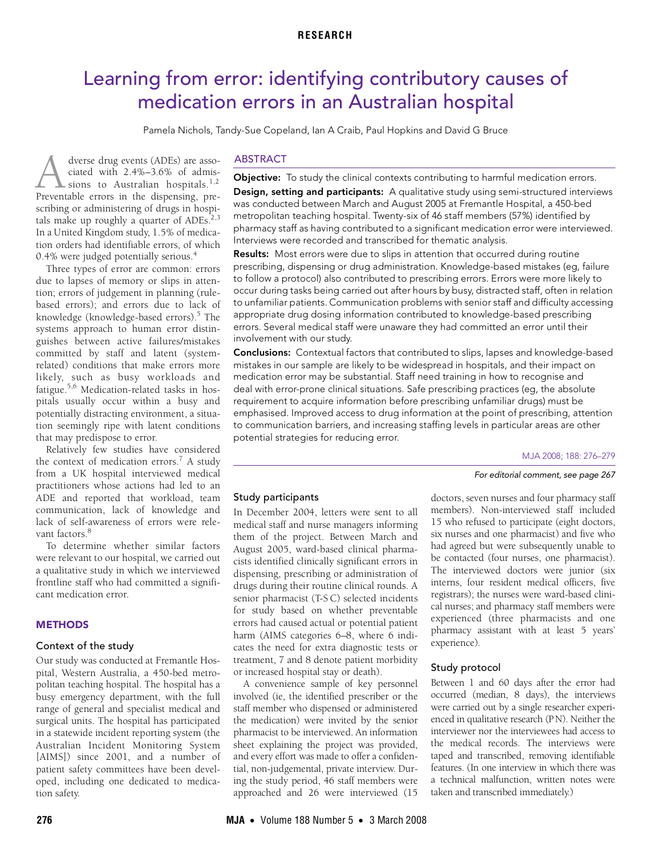# <span id="page-0-0"></span>Learning from error: identifying contributory causes of medication errors in an Australian hospital

Pamela Nichols, Tandy-Sue Copeland, Ian A Craib, Paul Hopkins and David G Bruce

tion orders had identifiable errors, of which  $0.4\%$  $0.4\%$  $0.4\%$  were judged potentially serious.<sup>4</sup> dverse drug events (ADEs) are associated with 2.4%–3.6% of admis-sions to Australian hospitals.<sup>[1](#page-3-0)[,2](#page-3-1)</sup> dverse drug events (ADEs) are associated with 2.4%–3.6% of admissions to Australian hospitals.<sup>1,2</sup> Preventable errors in the dispensing, prescribing or administering of drugs in hospitals make up roughly a quarter of  $ADEs$ <sup>2,[3](#page-3-2)</sup> In a United Kingdom study, 1.5% of medica-

Three types of error are common: errors due to lapses of memory or slips in attention; errors of judgement in planning (rulebased errors); and errors due to lack of knowledge (knowledge-based errors).<sup>[5](#page-3-4)</sup> The systems approach to human error distinguishes between active failures/mistakes committed by staff and latent (systemrelated) conditions that make errors more likely, such as busy workloads and fatigue.<sup>5,6</sup> Medication-related tasks in hospitals usually occur within a busy and potentially distracting environment, a situation seemingly ripe with latent conditions that may predispose to error.

Relatively few studies have considered the context of medication errors.<sup>7</sup> A study from a UK hospital interviewed medical practitioners whose actions had led to an ADE and reported that workload, team communication, lack of knowledge and lack of self-awareness of errors were rele-vant factors<sup>[8](#page-3-7)</sup>

To determine whether similar factors were relevant to our hospital, we carried out a qualitative study in which we interviewed frontline staff who had committed a significant medication error.

## **METHODS**

## Context of the study

Our study was conducted at Fremantle Hospital, Western Australia, a 450-bed metropolitan teaching hospital. The hospital has a busy emergency department, with the full range of general and specialist medical and surgical units. The hospital has participated in a statewide incident reporting system (the Australian Incident Monitoring System [AIMS]) since 2001, and a number of patient safety committees have been developed, including one dedicated to medication safety.

## ABSTRACT

Objective: To study the clinical contexts contributing to harmful medication errors.

Design, setting and participants: A qualitative study using semi-structured interviews was conducted between March and August 2005 at Fremantle Hospital, a 450-bed metropolitan teaching hospital. Twenty-six of 46 staff members (57%) identified by pharmacy staff as having contributed to a significant medication error were interviewed. Interviews were recorded and transcribed for thematic analysis.

Results: Most errors were due to slips in attention that occurred during routine prescribing, dispensing or drug administration. Knowledge-based mistakes (eg, failure to follow a protocol) also contributed to prescribing errors. Errors were more likely to occur during tasks being carried out after hours by busy, distracted staff, often in relation to unfamiliar patients. Communication problems with senior staff and difficulty accessing appropriate drug dosing information contributed to knowledge-based prescribing errors. Several medical staff were unaware they had committed an error until their involvement with our study.

Conclusions: Contextual factors that contributed to slips, lapses and knowledge-based mistakes in our sample are likely to be widespread in hospitals, and their impact on medication error may be substantial. Staff need training in how to recognise and deal with error-prone clinical situations. Safe prescribing practices (eg, the absolute requirement to acquire information before prescribing unfamiliar drugs) must be emphasised. Improved access to drug information at the point of prescribing, attention to communication barriers, and increasing staffing levels in particular areas are other potential strategies for reducing error.

MJA 2008; 188: 276–279

For editorial comment, see page 267

## Study participants

In December 2004, letters were sent to all medical staff and nurse managers informing them of the project. Between March and August 2005, ward-based clinical pharmacists identified clinically significant errors in dispensing, prescribing or administration of drugs during their routine clinical rounds. A senior pharmacist (T-S C) selected incidents for study based on whether preventable errors had caused actual or potential patient harm (AIMS categories 6–8, where 6 indicates the need for extra diagnostic tests or treatment, 7 and 8 denote patient morbidity or increased hospital stay or death).

A convenience sample of key personnel involved (ie, the identified prescriber or the staff member who dispensed or administered the medication) were invited by the senior pharmacist to be interviewed. An information sheet explaining the project was provided, and every effort was made to offer a confidential, non-judgemental, private interview. During the study period, 46 staff members were approached and 26 were interviewed (15

doctors, seven nurses and four pharmacy staff members). Non-interviewed staff included 15 who refused to participate (eight doctors, six nurses and one pharmacist) and five who had agreed but were subsequently unable to be contacted (four nurses, one pharmacist). The interviewed doctors were junior (six interns, four resident medical officers, five registrars); the nurses were ward-based clinical nurses; and pharmacy staff members were experienced (three pharmacists and one pharmacy assistant with at least 5 years' experience).

## Study protocol

Between 1 and 60 days after the error had occurred (median, 8 days), the interviews were carried out by a single researcher experienced in qualitative research (PN). Neither the interviewer nor the interviewees had access to the medical records. The interviews were taped and transcribed, removing identifiable features. (In one interview in which there was a technical malfunction, written notes were taken and transcribed immediately.)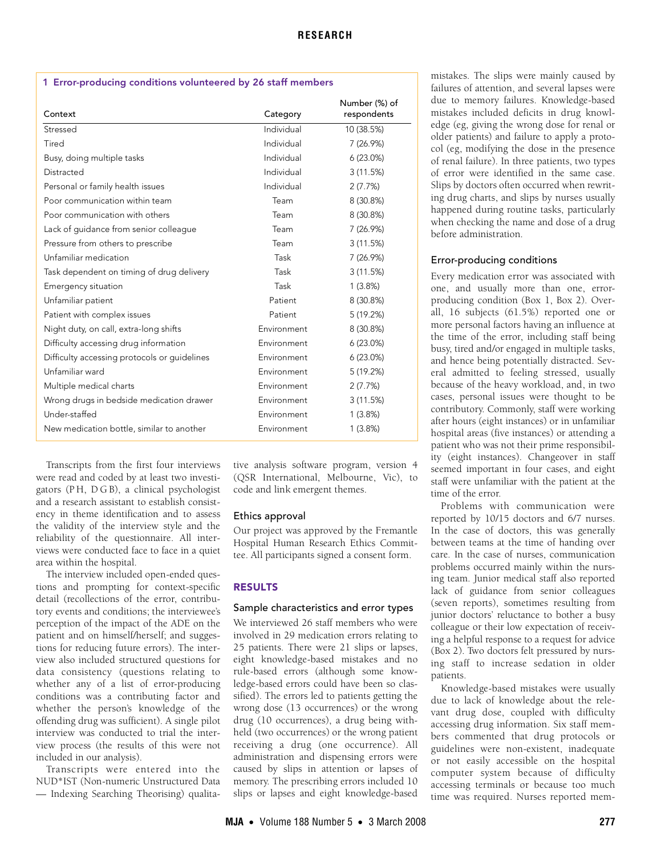## <span id="page-1-0"></span>1 Error-producing conditions volunteered by 26 staff members

| Context                                      | Category    | Number (%) of<br>respondents |
|----------------------------------------------|-------------|------------------------------|
| Stressed                                     | Individual  | 10 (38.5%)                   |
| Tired                                        | Individual  | 7(26.9%)                     |
| Busy, doing multiple tasks                   | Individual  | $6(23.0\%)$                  |
| Distracted                                   | Individual  | 3(11.5%)                     |
| Personal or family health issues             | Individual  | 2(7.7%)                      |
| Poor communication within team               | Team        | 8 (30.8%)                    |
| Poor communication with others               | Team        | 8 (30.8%)                    |
| Lack of guidance from senior colleague       | Team        | 7(26.9%)                     |
| Pressure from others to prescribe            | Team        | 3(11.5%)                     |
| Unfamiliar medication                        | Task        | 7(26.9%)                     |
| Task dependent on timing of drug delivery    | Task        | 3(11.5%)                     |
| Emergency situation                          | Task        | 1(3.8%)                      |
| Unfamiliar patient                           | Patient     | 8 (30.8%)                    |
| Patient with complex issues                  | Patient     | 5 (19.2%)                    |
| Night duty, on call, extra-long shifts       | Environment | 8 (30.8%)                    |
| Difficulty accessing drug information        | Environment | $6(23.0\%)$                  |
| Difficulty accessing protocols or guidelines | Environment | $6(23.0\%)$                  |
| Unfamiliar ward                              | Environment | 5 (19.2%)                    |
| Multiple medical charts                      | Environment | 2(7.7%)                      |
| Wrong drugs in bedside medication drawer     | Environment | 3(11.5%)                     |
| Under-staffed                                | Environment | 1(3.8%)                      |
| New medication bottle, similar to another    | Environment | 1(3.8%)                      |

Transcripts from the first four interviews were read and coded by at least two investigators (P H, D G B), a clinical psychologist and a research assistant to establish consistency in theme identification and to assess the validity of the interview style and the reliability of the questionnaire. All interviews were conducted face to face in a quiet area within the hospital.

The interview included open-ended questions and prompting for context-specific detail (recollections of the error, contributory events and conditions; the interviewee's perception of the impact of the ADE on the patient and on himself/herself; and suggestions for reducing future errors). The interview also included structured questions for data consistency (questions relating to whether any of a list of error-producing conditions was a contributing factor and whether the person's knowledge of the offending drug was sufficient). A single pilot interview was conducted to trial the interview process (the results of this were not included in our analysis).

Transcripts were entered into the NUD\*IST (Non-numeric Unstructured Data — Indexing Searching Theorising) qualitative analysis software program, version 4 (QSR International, Melbourne, Vic), to code and link emergent themes.

## Ethics approval

Our project was approved by the Fremantle Hospital Human Research Ethics Committee. All participants signed a consent form.

# RESULTS

# Sample characteristics and error types

We interviewed 26 staff members who were involved in 29 medication errors relating to 25 patients. There were 21 slips or lapses, eight knowledge-based mistakes and no rule-based errors (although some knowledge-based errors could have been so classified). The errors led to patients getting the wrong dose (13 occurrences) or the wrong drug (10 occurrences), a drug being withheld (two occurrences) or the wrong patient receiving a drug (one occurrence). All administration and dispensing errors were caused by slips in attention or lapses of memory. The prescribing errors included 10 slips or lapses and eight knowledge-based

mistakes. The slips were mainly caused by failures of attention, and several lapses were due to memory failures. Knowledge-based mistakes included deficits in drug knowledge (eg, giving the wrong dose for renal or older patients) and failure to apply a protocol (eg, modifying the dose in the presence of renal failure). In three patients, two types of error were identified in the same case. Slips by doctors often occurred when rewriting drug charts, and slips by nurses usually happened during routine tasks, particularly when checking the name and dose of a drug before administration.

## Error-producing conditions

Every medication error was associated with one, and usually more than one, errorproducing condition ([Box 1](#page-1-0), [Box 2\)](#page-2-0). Overall, 16 subjects (61.5%) reported one or more personal factors having an influence at the time of the error, including staff being busy, tired and/or engaged in multiple tasks, and hence being potentially distracted. Several admitted to feeling stressed, usually because of the heavy workload, and, in two cases, personal issues were thought to be contributory. Commonly, staff were working after hours (eight instances) or in unfamiliar hospital areas (five instances) or attending a patient who was not their prime responsibility (eight instances). Changeover in staff seemed important in four cases, and eight staff were unfamiliar with the patient at the time of the error.

Problems with communication were reported by 10/15 doctors and 6/7 nurses. In the case of doctors, this was generally between teams at the time of handing over care. In the case of nurses, communication problems occurred mainly within the nursing team. Junior medical staff also reported lack of guidance from senior colleagues (seven reports), sometimes resulting from junior doctors' reluctance to bother a busy colleague or their low expectation of receiving a helpful response to a request for advice ([Box 2](#page-2-0)). Two doctors felt pressured by nursing staff to increase sedation in older patients.

Knowledge-based mistakes were usually due to lack of knowledge about the relevant drug dose, coupled with difficulty accessing drug information. Six staff members commented that drug protocols or guidelines were non-existent, inadequate or not easily accessible on the hospital computer system because of difficulty accessing terminals or because too much time was required. Nurses reported mem-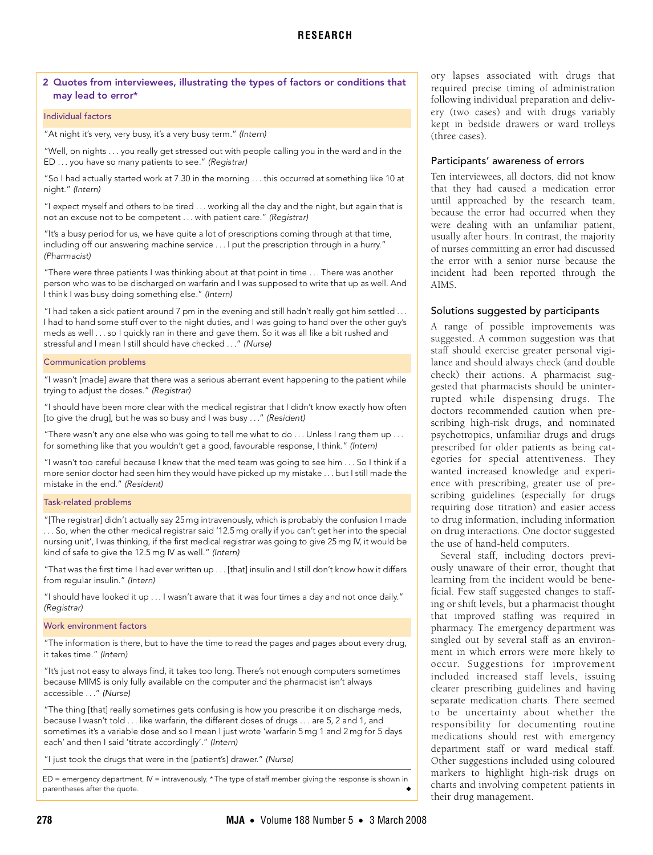## <span id="page-2-0"></span>2 Quotes from interviewees, illustrating the types of factors or conditions that may lead to error\*

#### Individual factors

"At night it's very, very busy, it's a very busy term." (Intern)

"Well, on nights . . . you really get stressed out with people calling you in the ward and in the ED . . . you have so many patients to see." (Registrar)

"So I had actually started work at 7.30 in the morning . . . this occurred at something like 10 at night." (Intern)

"I expect myself and others to be tired . . . working all the day and the night, but again that is not an excuse not to be competent . . . with patient care." (Registrar)

"It's a busy period for us, we have quite a lot of prescriptions coming through at that time, including off our answering machine service . . . I put the prescription through in a hurry." (Pharmacist)

"There were three patients I was thinking about at that point in time . . . There was another person who was to be discharged on warfarin and I was supposed to write that up as well. And I think I was busy doing something else." (Intern)

"I had taken a sick patient around 7 pm in the evening and still hadn't really got him settled . . . I had to hand some stuff over to the night duties, and I was going to hand over the other guy's meds as well . . . so I quickly ran in there and gave them. So it was all like a bit rushed and stressful and I mean I still should have checked . . ." (Nurse)

#### Communication problems

"I wasn't [made] aware that there was a serious aberrant event happening to the patient while trying to adjust the doses." (Registrar)

"I should have been more clear with the medical registrar that I didn't know exactly how often [to give the drug], but he was so busy and I was busy . . ." (Resident)

"There wasn't any one else who was going to tell me what to do . . . Unless I rang them up . . . for something like that you wouldn't get a good, favourable response, I think." (Intern)

"I wasn't too careful because I knew that the med team was going to see him . . . So I think if a more senior doctor had seen him they would have picked up my mistake . . . but I still made the mistake in the end." (Resident)

#### Task-related problems

"[The registrar] didn't actually say 25 mg intravenously, which is probably the confusion I made . . . So, when the other medical registrar said '12.5 mg orally if you can't get her into the special nursing unit', I was thinking, if the first medical registrar was going to give 25 mg IV, it would be kind of safe to give the 12.5 mg IV as well." (Intern)

"That was the first time I had ever written up . . . [that] insulin and I still don't know how it differs from regular insulin." (Intern)

"I should have looked it up . . . I wasn't aware that it was four times a day and not once daily." (Registrar)

## Work environment factors

"The information is there, but to have the time to read the pages and pages about every drug, it takes time." (Intern)

"It's just not easy to always find, it takes too long. There's not enough computers sometimes because MIMS is only fully available on the computer and the pharmacist isn't always accessible . . ." (Nurse)

"The thing [that] really sometimes gets confusing is how you prescribe it on discharge meds, because I wasn't told . . . like warfarin, the different doses of drugs . . . are 5, 2 and 1, and sometimes it's a variable dose and so I mean I just wrote 'warfarin 5 mg 1 and 2 mg for 5 days each' and then I said 'titrate accordingly'." (Intern)

"I just took the drugs that were in the [patient's] drawer." (Nurse)

ED = emergency department. IV = intravenously. \* The type of staff member giving the response is shown in parentheses after the quote.

ory lapses associated with drugs that required precise timing of administration following individual preparation and delivery (two cases) and with drugs variably kept in bedside drawers or ward trolleys (three cases).

## Participants' awareness of errors

Ten interviewees, all doctors, did not know that they had caused a medication error until approached by the research team, because the error had occurred when they were dealing with an unfamiliar patient, usually after hours. In contrast, the majority of nurses committing an error had discussed the error with a senior nurse because the incident had been reported through the AIMS.

## Solutions suggested by participants

A range of possible improvements was suggested. A common suggestion was that staff should exercise greater personal vigilance and should always check (and double check) their actions. A pharmacist suggested that pharmacists should be uninterrupted while dispensing drugs. The doctors recommended caution when prescribing high-risk drugs, and nominated psychotropics, unfamiliar drugs and drugs prescribed for older patients as being categories for special attentiveness. They wanted increased knowledge and experience with prescribing, greater use of prescribing guidelines (especially for drugs requiring dose titration) and easier access to drug information, including information on drug interactions. One doctor suggested the use of hand-held computers.

Several staff, including doctors previously unaware of their error, thought that learning from the incident would be beneficial. Few staff suggested changes to staffing or shift levels, but a pharmacist thought that improved staffing was required in pharmacy. The emergency department was singled out by several staff as an environment in which errors were more likely to occur. Suggestions for improvement included increased staff levels, issuing clearer prescribing guidelines and having separate medication charts. There seemed to be uncertainty about whether the responsibility for documenting routine medications should rest with emergency department staff or ward medical staff. Other suggestions included using coloured markers to highlight high-risk drugs on charts and involving competent patients in their drug management.